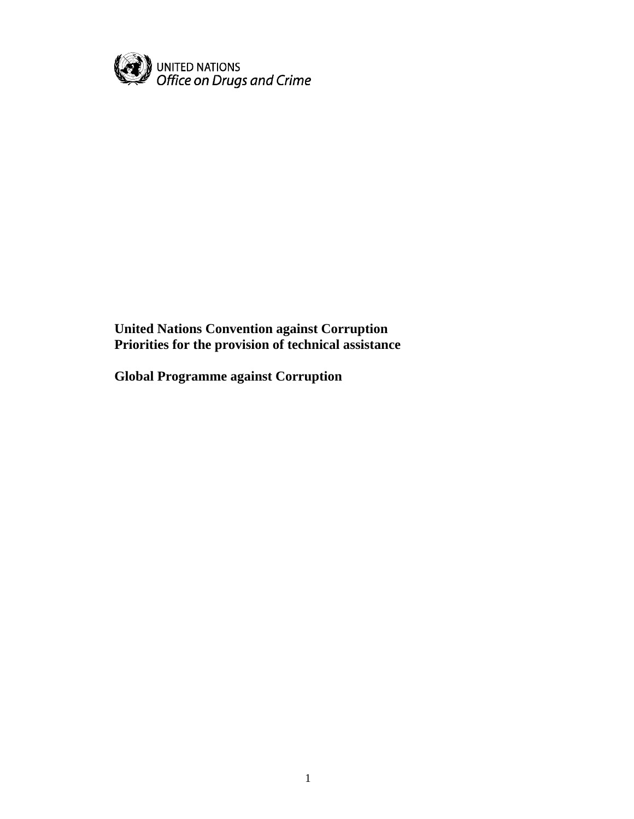

**United Nations Convention against Corruption Priorities for the provision of technical assistance** 

**Global Programme against Corruption**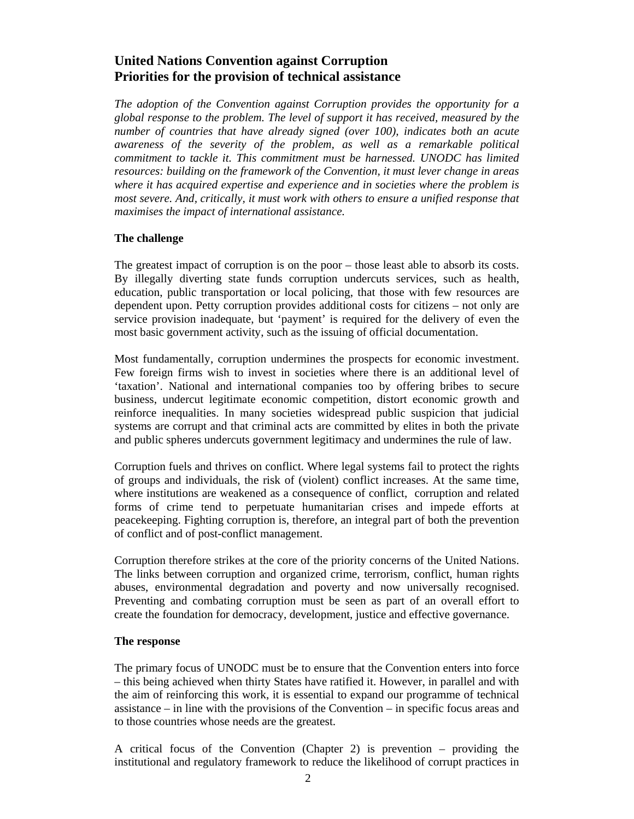# **United Nations Convention against Corruption Priorities for the provision of technical assistance**

*The adoption of the Convention against Corruption provides the opportunity for a global response to the problem. The level of support it has received, measured by the number of countries that have already signed (over 100), indicates both an acute awareness of the severity of the problem, as well as a remarkable political commitment to tackle it. This commitment must be harnessed. UNODC has limited resources: building on the framework of the Convention, it must lever change in areas where it has acquired expertise and experience and in societies where the problem is most severe. And, critically, it must work with others to ensure a unified response that maximises the impact of international assistance.* 

### **The challenge**

The greatest impact of corruption is on the poor – those least able to absorb its costs. By illegally diverting state funds corruption undercuts services, such as health, education, public transportation or local policing, that those with few resources are dependent upon. Petty corruption provides additional costs for citizens – not only are service provision inadequate, but 'payment' is required for the delivery of even the most basic government activity, such as the issuing of official documentation.

Most fundamentally, corruption undermines the prospects for economic investment. Few foreign firms wish to invest in societies where there is an additional level of 'taxation'. National and international companies too by offering bribes to secure business, undercut legitimate economic competition, distort economic growth and reinforce inequalities. In many societies widespread public suspicion that judicial systems are corrupt and that criminal acts are committed by elites in both the private and public spheres undercuts government legitimacy and undermines the rule of law.

Corruption fuels and thrives on conflict. Where legal systems fail to protect the rights of groups and individuals, the risk of (violent) conflict increases. At the same time, where institutions are weakened as a consequence of conflict, corruption and related forms of crime tend to perpetuate humanitarian crises and impede efforts at peacekeeping. Fighting corruption is, therefore, an integral part of both the prevention of conflict and of post-conflict management.

Corruption therefore strikes at the core of the priority concerns of the United Nations. The links between corruption and organized crime, terrorism, conflict, human rights abuses, environmental degradation and poverty and now universally recognised. Preventing and combating corruption must be seen as part of an overall effort to create the foundation for democracy, development, justice and effective governance.

#### **The response**

The primary focus of UNODC must be to ensure that the Convention enters into force – this being achieved when thirty States have ratified it. However, in parallel and with the aim of reinforcing this work, it is essential to expand our programme of technical assistance – in line with the provisions of the Convention – in specific focus areas and to those countries whose needs are the greatest.

A critical focus of the Convention (Chapter 2) is prevention – providing the institutional and regulatory framework to reduce the likelihood of corrupt practices in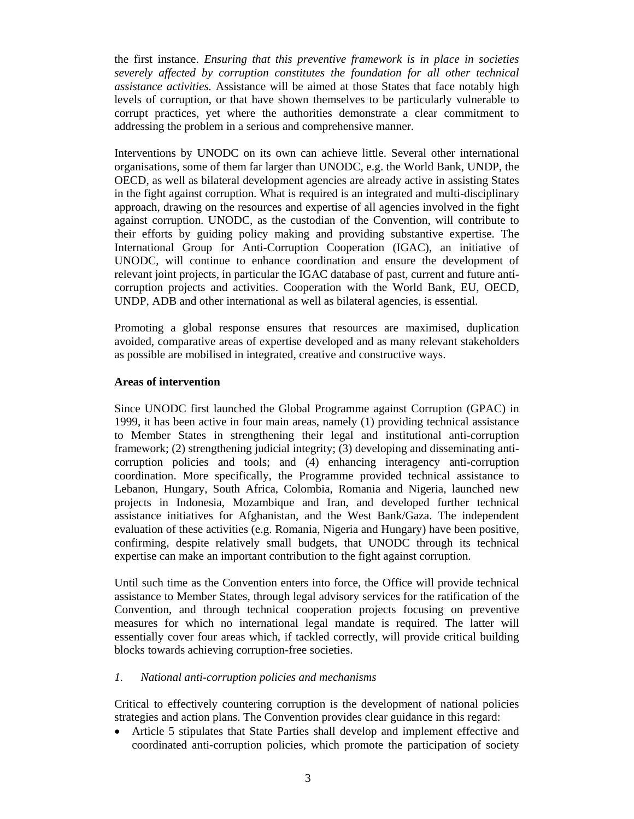the first instance. *Ensuring that this preventive framework is in place in societies severely affected by corruption constitutes the foundation for all other technical assistance activities.* Assistance will be aimed at those States that face notably high levels of corruption, or that have shown themselves to be particularly vulnerable to corrupt practices, yet where the authorities demonstrate a clear commitment to addressing the problem in a serious and comprehensive manner.

Interventions by UNODC on its own can achieve little. Several other international organisations, some of them far larger than UNODC, e.g. the World Bank, UNDP, the OECD, as well as bilateral development agencies are already active in assisting States in the fight against corruption. What is required is an integrated and multi-disciplinary approach, drawing on the resources and expertise of all agencies involved in the fight against corruption. UNODC, as the custodian of the Convention, will contribute to their efforts by guiding policy making and providing substantive expertise. The International Group for Anti-Corruption Cooperation (IGAC), an initiative of UNODC, will continue to enhance coordination and ensure the development of relevant joint projects, in particular the IGAC database of past, current and future anticorruption projects and activities. Cooperation with the World Bank, EU, OECD, UNDP, ADB and other international as well as bilateral agencies, is essential.

Promoting a global response ensures that resources are maximised, duplication avoided, comparative areas of expertise developed and as many relevant stakeholders as possible are mobilised in integrated, creative and constructive ways.

#### **Areas of intervention**

Since UNODC first launched the Global Programme against Corruption (GPAC) in 1999, it has been active in four main areas, namely (1) providing technical assistance to Member States in strengthening their legal and institutional anti-corruption framework; (2) strengthening judicial integrity; (3) developing and disseminating anticorruption policies and tools; and (4) enhancing interagency anti-corruption coordination. More specifically, the Programme provided technical assistance to Lebanon, Hungary, South Africa, Colombia, Romania and Nigeria, launched new projects in Indonesia, Mozambique and Iran, and developed further technical assistance initiatives for Afghanistan, and the West Bank/Gaza. The independent evaluation of these activities (e.g. Romania, Nigeria and Hungary) have been positive, confirming, despite relatively small budgets, that UNODC through its technical expertise can make an important contribution to the fight against corruption.

Until such time as the Convention enters into force, the Office will provide technical assistance to Member States, through legal advisory services for the ratification of the Convention, and through technical cooperation projects focusing on preventive measures for which no international legal mandate is required. The latter will essentially cover four areas which, if tackled correctly, will provide critical building blocks towards achieving corruption-free societies.

## *1. National anti-corruption policies and mechanisms*

Critical to effectively countering corruption is the development of national policies strategies and action plans. The Convention provides clear guidance in this regard:

• Article 5 stipulates that State Parties shall develop and implement effective and coordinated anti-corruption policies, which promote the participation of society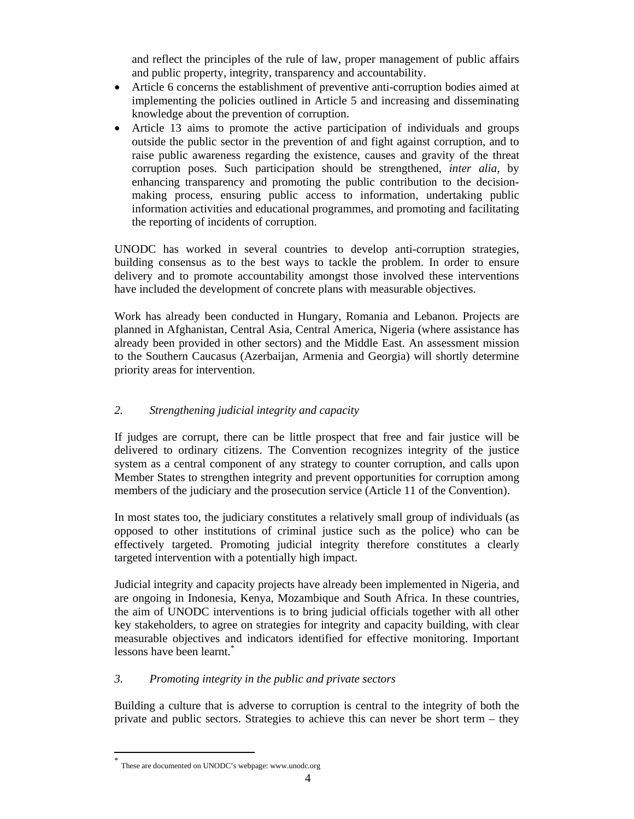and reflect the principles of the rule of law, proper management of public affairs and public property, integrity, transparency and accountability.

- Article 6 concerns the establishment of preventive anti-corruption bodies aimed at implementing the policies outlined in Article 5 and increasing and disseminating knowledge about the prevention of corruption.
- Article 13 aims to promote the active participation of individuals and groups outside the public sector in the prevention of and fight against corruption, and to raise public awareness regarding the existence, causes and gravity of the threat corruption poses. Such participation should be strengthened, *inter alia*, by enhancing transparency and promoting the public contribution to the decisionmaking process, ensuring public access to information, undertaking public information activities and educational programmes, and promoting and facilitating the reporting of incidents of corruption.

UNODC has worked in several countries to develop anti-corruption strategies, building consensus as to the best ways to tackle the problem. In order to ensure delivery and to promote accountability amongst those involved these interventions have included the development of concrete plans with measurable objectives.

Work has already been conducted in Hungary, Romania and Lebanon. Projects are planned in Afghanistan, Central Asia, Central America, Nigeria (where assistance has already been provided in other sectors) and the Middle East. An assessment mission to the Southern Caucasus (Azerbaijan, Armenia and Georgia) will shortly determine priority areas for intervention.

## *2. Strengthening judicial integrity and capacity*

If judges are corrupt, there can be little prospect that free and fair justice will be delivered to ordinary citizens. The Convention recognizes integrity of the justice system as a central component of any strategy to counter corruption, and calls upon Member States to strengthen integrity and prevent opportunities for corruption among members of the judiciary and the prosecution service (Article 11 of the Convention).

In most states too, the judiciary constitutes a relatively small group of individuals (as opposed to other institutions of criminal justice such as the police) who can be effectively targeted. Promoting judicial integrity therefore constitutes a clearly targeted intervention with a potentially high impact.

Judicial integrity and capacity projects have already been implemented in Nigeria, and are ongoing in Indonesia, Kenya, Mozambique and South Africa. In these countries, the aim of UNODC interventions is to bring judicial officials together with all other key stakeholders, to agree on strategies for integrity and capacity building, with clear measurable objectives and indicators identified for effective monitoring. Important lessons have been learnt.<sup>\*</sup>

## *3. Promoting integrity in the public and private sectors*

Building a culture that is adverse to corruption is central to the integrity of both the private and public sectors. Strategies to achieve this can never be short term – they

These are documented on UNODC's webpage: www.unodc.org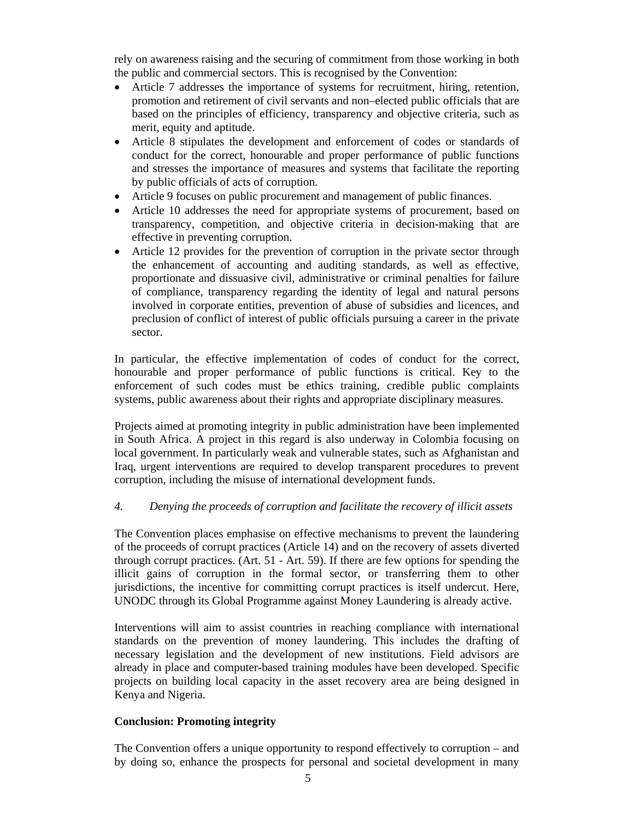rely on awareness raising and the securing of commitment from those working in both the public and commercial sectors. This is recognised by the Convention:

- Article 7 addresses the importance of systems for recruitment, hiring, retention, promotion and retirement of civil servants and non–elected public officials that are based on the principles of efficiency, transparency and objective criteria, such as merit, equity and aptitude.
- Article 8 stipulates the development and enforcement of codes or standards of conduct for the correct, honourable and proper performance of public functions and stresses the importance of measures and systems that facilitate the reporting by public officials of acts of corruption.
- Article 9 focuses on public procurement and management of public finances.
- Article 10 addresses the need for appropriate systems of procurement, based on transparency, competition, and objective criteria in decision-making that are effective in preventing corruption.
- Article 12 provides for the prevention of corruption in the private sector through the enhancement of accounting and auditing standards, as well as effective, proportionate and dissuasive civil, administrative or criminal penalties for failure of compliance, transparency regarding the identity of legal and natural persons involved in corporate entities, prevention of abuse of subsidies and licences, and preclusion of conflict of interest of public officials pursuing a career in the private sector.

In particular, the effective implementation of codes of conduct for the correct, honourable and proper performance of public functions is critical. Key to the enforcement of such codes must be ethics training, credible public complaints systems, public awareness about their rights and appropriate disciplinary measures.

Projects aimed at promoting integrity in public administration have been implemented in South Africa. A project in this regard is also underway in Colombia focusing on local government. In particularly weak and vulnerable states, such as Afghanistan and Iraq, urgent interventions are required to develop transparent procedures to prevent corruption, including the misuse of international development funds.

## *4. Denying the proceeds of corruption and facilitate the recovery of illicit assets*

The Convention places emphasise on effective mechanisms to prevent the laundering of the proceeds of corrupt practices (Article 14) and on the recovery of assets diverted through corrupt practices. (Art. 51 - Art. 59). If there are few options for spending the illicit gains of corruption in the formal sector, or transferring them to other jurisdictions, the incentive for committing corrupt practices is itself undercut. Here, UNODC through its Global Programme against Money Laundering is already active.

Interventions will aim to assist countries in reaching compliance with international standards on the prevention of money laundering. This includes the drafting of necessary legislation and the development of new institutions. Field advisors are already in place and computer-based training modules have been developed. Specific projects on building local capacity in the asset recovery area are being designed in Kenya and Nigeria.

#### **Conclusion: Promoting integrity**

The Convention offers a unique opportunity to respond effectively to corruption – and by doing so, enhance the prospects for personal and societal development in many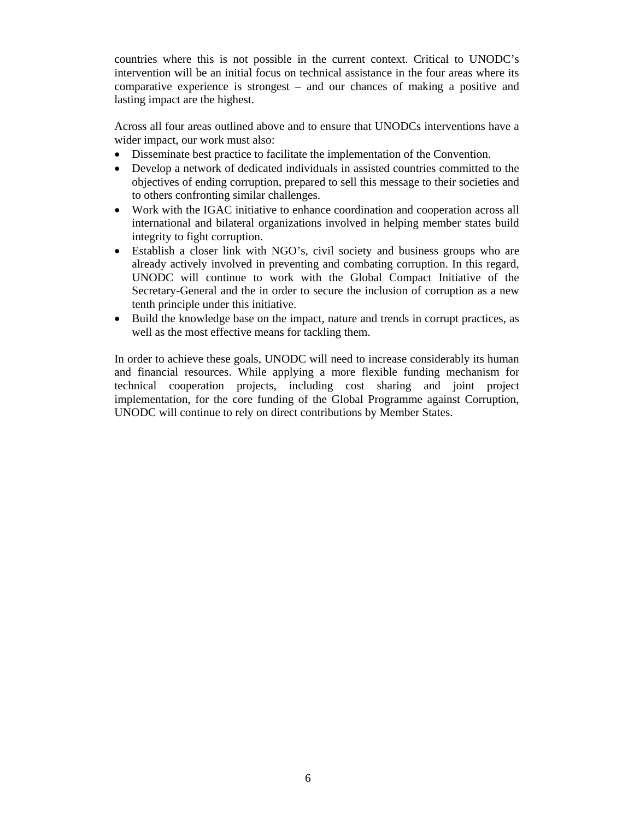countries where this is not possible in the current context. Critical to UNODC's intervention will be an initial focus on technical assistance in the four areas where its comparative experience is strongest – and our chances of making a positive and lasting impact are the highest.

Across all four areas outlined above and to ensure that UNODCs interventions have a wider impact, our work must also:

- Disseminate best practice to facilitate the implementation of the Convention.
- Develop a network of dedicated individuals in assisted countries committed to the objectives of ending corruption, prepared to sell this message to their societies and to others confronting similar challenges.
- Work with the IGAC initiative to enhance coordination and cooperation across all international and bilateral organizations involved in helping member states build integrity to fight corruption.
- Establish a closer link with NGO's, civil society and business groups who are already actively involved in preventing and combating corruption. In this regard, UNODC will continue to work with the Global Compact Initiative of the Secretary-General and the in order to secure the inclusion of corruption as a new tenth principle under this initiative.
- Build the knowledge base on the impact, nature and trends in corrupt practices, as well as the most effective means for tackling them.

In order to achieve these goals, UNODC will need to increase considerably its human and financial resources. While applying a more flexible funding mechanism for technical cooperation projects, including cost sharing and joint project implementation, for the core funding of the Global Programme against Corruption, UNODC will continue to rely on direct contributions by Member States.